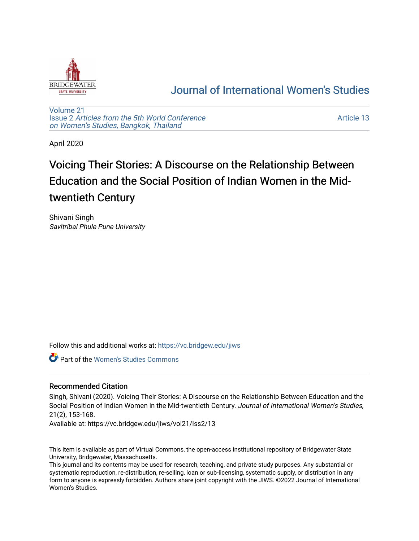

## [Journal of International Women's Studies](https://vc.bridgew.edu/jiws)

[Volume 21](https://vc.bridgew.edu/jiws/vol21) Issue 2 [Articles from the 5th World Conference](https://vc.bridgew.edu/jiws/vol21/iss2) [on Women's Studies, Bangkok, Thailand](https://vc.bridgew.edu/jiws/vol21/iss2) 

[Article 13](https://vc.bridgew.edu/jiws/vol21/iss2/13) 

April 2020

# Voicing Their Stories: A Discourse on the Relationship Between Education and the Social Position of Indian Women in the Midtwentieth Century

Shivani Singh Savitribai Phule Pune University

Follow this and additional works at: [https://vc.bridgew.edu/jiws](https://vc.bridgew.edu/jiws?utm_source=vc.bridgew.edu%2Fjiws%2Fvol21%2Fiss2%2F13&utm_medium=PDF&utm_campaign=PDFCoverPages)

Part of the [Women's Studies Commons](http://network.bepress.com/hgg/discipline/561?utm_source=vc.bridgew.edu%2Fjiws%2Fvol21%2Fiss2%2F13&utm_medium=PDF&utm_campaign=PDFCoverPages) 

### Recommended Citation

Singh, Shivani (2020). Voicing Their Stories: A Discourse on the Relationship Between Education and the Social Position of Indian Women in the Mid-twentieth Century. Journal of International Women's Studies, 21(2), 153-168.

Available at: https://vc.bridgew.edu/jiws/vol21/iss2/13

This item is available as part of Virtual Commons, the open-access institutional repository of Bridgewater State University, Bridgewater, Massachusetts.

This journal and its contents may be used for research, teaching, and private study purposes. Any substantial or systematic reproduction, re-distribution, re-selling, loan or sub-licensing, systematic supply, or distribution in any form to anyone is expressly forbidden. Authors share joint copyright with the JIWS. ©2022 Journal of International Women's Studies.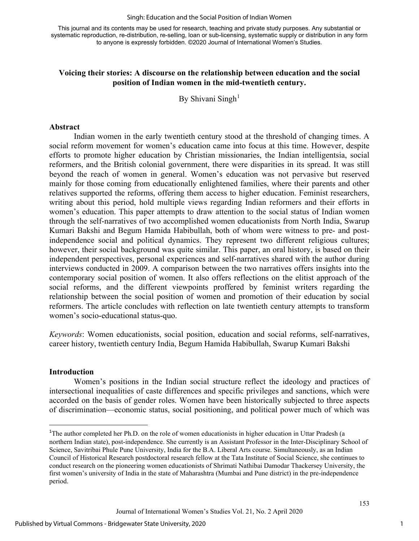#### Singh: Education and the Social Position of Indian Women

This journal and its contents may be used for research, teaching and private study purposes. Any substantial or systematic reproduction, re-distribution, re-selling, loan or sub-licensing, systematic supply or distribution in any form to anyone is expressly forbidden. ©2020 Journal of International Women's Studies.

#### **Voicing their stories: A discourse on the relationship between education and the social position of Indian women in the mid-twentieth century.**

By Shivani Singh<sup>[1](#page-1-0)</sup>

#### **Abstract**

Indian women in the early twentieth century stood at the threshold of changing times. A social reform movement for women's education came into focus at this time. However, despite efforts to promote higher education by Christian missionaries, the Indian intelligentsia, social reformers, and the British colonial government, there were disparities in its spread. It was still beyond the reach of women in general. Women's education was not pervasive but reserved mainly for those coming from educationally enlightened families, where their parents and other relatives supported the reforms, offering them access to higher education. Feminist researchers, writing about this period, hold multiple views regarding Indian reformers and their efforts in women's education. This paper attempts to draw attention to the social status of Indian women through the self-narratives of two accomplished women educationists from North India, Swarup Kumari Bakshi and Begum Hamida Habibullah, both of whom were witness to pre- and postindependence social and political dynamics. They represent two different religious cultures; however, their social background was quite similar. This paper, an oral history, is based on their independent perspectives, personal experiences and self-narratives shared with the author during interviews conducted in 2009. A comparison between the two narratives offers insights into the contemporary social position of women. It also offers reflections on the elitist approach of the social reforms, and the different viewpoints proffered by feminist writers regarding the relationship between the social position of women and promotion of their education by social reformers. The article concludes with reflection on late twentieth century attempts to transform women's socio-educational status-quo.

*Keywords*: Women educationists, social position, education and social reforms, self-narratives, career history, twentieth century India, Begum Hamida Habibullah, Swarup Kumari Bakshi

#### **Introduction**

Women's positions in the Indian social structure reflect the ideology and practices of intersectional inequalities of caste differences and specific privileges and sanctions, which were accorded on the basis of gender roles. Women have been historically subjected to three aspects of discrimination—economic status, social positioning, and political power much of which was

<span id="page-1-0"></span><sup>&</sup>lt;sup>1</sup>The author completed her Ph.D. on the role of women educationists in higher education in Uttar Pradesh (a northern Indian state), post-independence. She currently is an Assistant Professor in the Inter-Disciplinary School of Science, Savitribai Phule Pune University, India for the B.A. Liberal Arts course. Simultaneously, as an Indian Council of Historical Research postdoctoral research fellow at the Tata Institute of Social Science, she continues to conduct research on the pioneering women educationists of Shrimati Nathibai Damodar Thackersey University, the first women's university of India in the state of Maharashtra (Mumbai and Pune district) in the pre-independence period.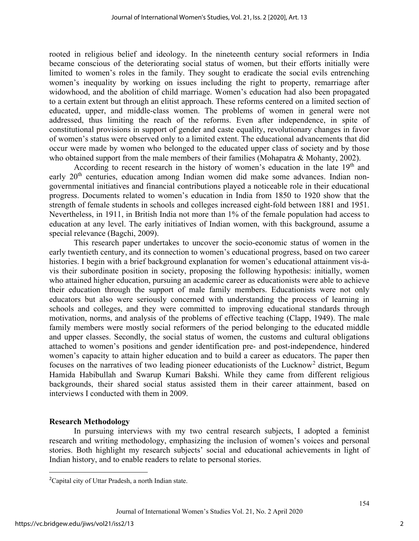rooted in religious belief and ideology. In the nineteenth century social reformers in India became conscious of the deteriorating social status of women, but their efforts initially were limited to women's roles in the family. They sought to eradicate the social evils entrenching women's inequality by working on issues including the right to property, remarriage after widowhood, and the abolition of child marriage. Women's education had also been propagated to a certain extent but through an elitist approach. These reforms centered on a limited section of educated, upper, and middle-class women. The problems of women in general were not addressed, thus limiting the reach of the reforms. Even after independence, in spite of constitutional provisions in support of gender and caste equality, revolutionary changes in favor of women's status were observed only to a limited extent. The educational advancements that did occur were made by women who belonged to the educated upper class of society and by those who obtained support from the male members of their families (Mohapatra & Mohanty, 2002).

According to recent research in the history of women's education in the late  $19<sup>th</sup>$  and early 20<sup>th</sup> centuries, education among Indian women did make some advances. Indian nongovernmental initiatives and financial contributions played a noticeable role in their educational progress. Documents related to women's education in India from 1850 to 1920 show that the strength of female students in schools and colleges increased eight-fold between 1881 and 1951. Nevertheless, in 1911, in British India not more than 1% of the female population had access to education at any level. The early initiatives of Indian women, with this background, assume a special relevance (Bagchi, 2009).

This research paper undertakes to uncover the socio-economic status of women in the early twentieth century, and its connection to women's educational progress, based on two career histories. I begin with a brief background explanation for women's educational attainment vis-àvis their subordinate position in society, proposing the following hypothesis: initially, women who attained higher education, pursuing an academic career as educationists were able to achieve their education through the support of male family members. Educationists were not only educators but also were seriously concerned with understanding the process of learning in schools and colleges, and they were committed to improving educational standards through motivation, norms, and analysis of the problems of effective teaching (Clapp, 1949). The male family members were mostly social reformers of the period belonging to the educated middle and upper classes. Secondly, the social status of women, the customs and cultural obligations attached to women's positions and gender identification pre- and post-independence, hindered women's capacity to attain higher education and to build a career as educators. The paper then focuses on the narratives of two leading pioneer educationists of the Lucknow[2](#page-2-0) district, Begum Hamida Habibullah and Swarup Kumari Bakshi. While they came from different religious backgrounds, their shared social status assisted them in their career attainment, based on interviews I conducted with them in 2009.

#### **Research Methodology**

In pursuing interviews with my two central research subjects, I adopted a feminist research and writing methodology, emphasizing the inclusion of women's voices and personal stories. Both highlight my research subjects' social and educational achievements in light of Indian history, and to enable readers to relate to personal stories.

<span id="page-2-0"></span><sup>&</sup>lt;sup>2</sup>Capital city of Uttar Pradesh, a north Indian state.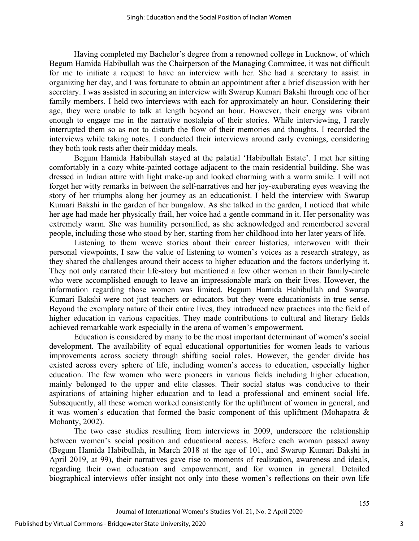Having completed my Bachelor's degree from a renowned college in Lucknow, of which Begum Hamida Habibullah was the Chairperson of the Managing Committee, it was not difficult for me to initiate a request to have an interview with her. She had a secretary to assist in organizing her day, and I was fortunate to obtain an appointment after a brief discussion with her secretary. I was assisted in securing an interview with Swarup Kumari Bakshi through one of her family members. I held two interviews with each for approximately an hour. Considering their age, they were unable to talk at length beyond an hour. However, their energy was vibrant enough to engage me in the narrative nostalgia of their stories. While interviewing, I rarely interrupted them so as not to disturb the flow of their memories and thoughts. I recorded the interviews while taking notes. I conducted their interviews around early evenings, considering they both took rests after their midday meals.

Begum Hamida Habibullah stayed at the palatial 'Habibullah Estate'. I met her sitting comfortably in a cozy white-painted cottage adjacent to the main residential building. She was dressed in Indian attire with light make-up and looked charming with a warm smile. I will not forget her witty remarks in between the self-narratives and her joy-exuberating eyes weaving the story of her triumphs along her journey as an educationist. I held the interview with Swarup Kumari Bakshi in the garden of her bungalow. As she talked in the garden, I noticed that while her age had made her physically frail, her voice had a gentle command in it. Her personality was extremely warm. She was humility personified, as she acknowledged and remembered several people, including those who stood by her, starting from her childhood into her later years of life.

Listening to them weave stories about their career histories, interwoven with their personal viewpoints, I saw the value of listening to women's voices as a research strategy, as they shared the challenges around their access to higher education and the factors underlying it. They not only narrated their life-story but mentioned a few other women in their family-circle who were accomplished enough to leave an impressionable mark on their lives. However, the information regarding those women was limited. Begum Hamida Habibullah and Swarup Kumari Bakshi were not just teachers or educators but they were educationists in true sense. Beyond the exemplary nature of their entire lives, they introduced new practices into the field of higher education in various capacities. They made contributions to cultural and literary fields achieved remarkable work especially in the arena of women's empowerment.

Education is considered by many to be the most important determinant of women's social development. The availability of equal educational opportunities for women leads to various improvements across society through shifting social roles. However, the gender divide has existed across every sphere of life, including women's access to education, especially higher education. The few women who were pioneers in various fields including higher education, mainly belonged to the upper and elite classes. Their social status was conducive to their aspirations of attaining higher education and to lead a professional and eminent social life. Subsequently, all these women worked consistently for the upliftment of women in general, and it was women's education that formed the basic component of this upliftment (Mohapatra & Mohanty, 2002).

The two case studies resulting from interviews in 2009, underscore the relationship between women's social position and educational access. Before each woman passed away (Begum Hamida Habibullah, in March 2018 at the age of 101, and Swarup Kumari Bakshi in April 2019, at 99), their narratives gave rise to moments of realization, awareness and ideals, regarding their own education and empowerment, and for women in general. Detailed biographical interviews offer insight not only into these women's reflections on their own life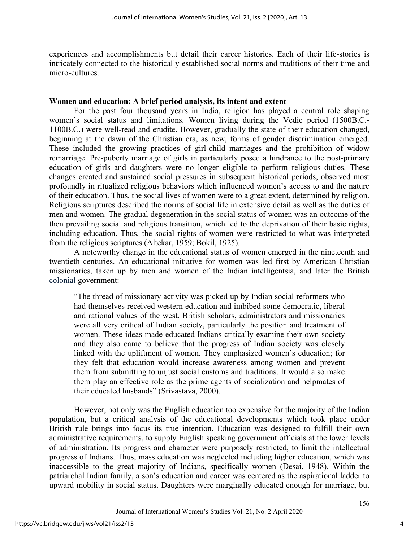experiences and accomplishments but detail their career histories. Each of their life-stories is intricately connected to the historically established social norms and traditions of their time and micro-cultures.

#### **Women and education: A brief period analysis, its intent and extent**

For the past four thousand years in India, religion has played a central role shaping women's social status and limitations. Women living during the Vedic period (1500B.C.- 1100B.C.) were well-read and erudite. However, gradually the state of their education changed, beginning at the dawn of the Christian era, as new, forms of gender discrimination emerged. These included the growing practices of girl-child marriages and the prohibition of widow remarriage. Pre-puberty marriage of girls in particularly posed a hindrance to the post-primary education of girls and daughters were no longer eligible to perform religious duties. These changes created and sustained social pressures in subsequent historical periods, observed most profoundly in ritualized religious behaviors which influenced women's access to and the nature of their education. Thus, the social lives of women were to a great extent, determined by religion. Religious scriptures described the norms of social life in extensive detail as well as the duties of men and women. The gradual degeneration in the social status of women was an outcome of the then prevailing social and religious transition, which led to the deprivation of their basic rights, including education. Thus, the social rights of women were restricted to what was interpreted from the religious scriptures (Altekar, 1959; Bokil, 1925).

A noteworthy change in the educational status of women emerged in the nineteenth and twentieth centuries. An educational initiative for women was led first by American Christian missionaries, taken up by men and women of the Indian intelligentsia, and later the British colonial government:

"The thread of missionary activity was picked up by Indian social reformers who had themselves received western education and imbibed some democratic, liberal and rational values of the west. British scholars, administrators and missionaries were all very critical of Indian society, particularly the position and treatment of women. These ideas made educated Indians critically examine their own society and they also came to believe that the progress of Indian society was closely linked with the upliftment of women. They emphasized women's education; for they felt that education would increase awareness among women and prevent them from submitting to unjust social customs and traditions. It would also make them play an effective role as the prime agents of socialization and helpmates of their educated husbands" (Srivastava, 2000).

However, not only was the English education too expensive for the majority of the Indian population, but a critical analysis of the educational developments which took place under British rule brings into focus its true intention. Education was designed to fulfill their own administrative requirements, to supply English speaking government officials at the lower levels of administration. Its progress and character were purposely restricted, to limit the intellectual progress of Indians. Thus, mass education was neglected including higher education, which was inaccessible to the great majority of Indians, specifically women (Desai, 1948). Within the patriarchal Indian family, a son's education and career was centered as the aspirational ladder to upward mobility in social status. Daughters were marginally educated enough for marriage, but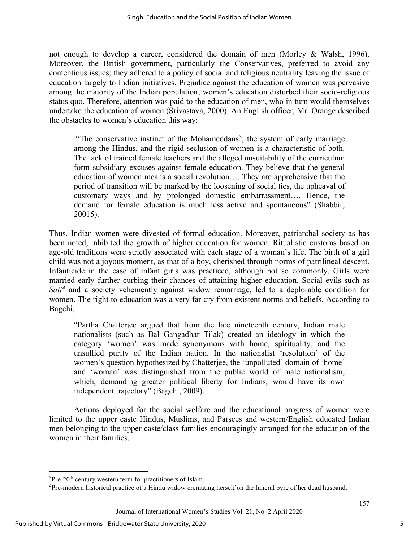not enough to develop a career, considered the domain of men (Morley & Walsh, 1996). Moreover, the British government, particularly the Conservatives, preferred to avoid any contentious issues; they adhered to a policy of social and religious neutrality leaving the issue of education largely to Indian initiatives. Prejudice against the education of women was pervasive among the majority of the Indian population; women's education disturbed their socio-religious status quo. Therefore, attention was paid to the education of men, who in turn would themselves undertake the education of women (Srivastava, 2000). An English officer, Mr. Orange described the obstacles to women's education this way:

"The conservative instinct of the Mohameddans<sup>[3](#page-5-0)</sup>, the system of early marriage among the Hindus, and the rigid seclusion of women is a characteristic of both. The lack of trained female teachers and the alleged unsuitability of the curriculum form subsidiary excuses against female education. They believe that the general education of women means a social revolution…. They are apprehensive that the period of transition will be marked by the loosening of social ties, the upheaval of customary ways and by prolonged domestic embarrassment…. Hence, the demand for female education is much less active and spontaneous" (Shabbir, 20015).

Thus, Indian women were divested of formal education. Moreover, patriarchal society as has been noted, inhibited the growth of higher education for women. Ritualistic customs based on age-old traditions were strictly associated with each stage of a woman's life. The birth of a girl child was not a joyous moment, as that of a boy, cherished through norms of patrilineal descent. Infanticide in the case of infant girls was practiced, although not so commonly. Girls were married early further curbing their chances of attaining higher education. Social evils such as *Sati[4](#page-5-1)* and a society vehemently against widow remarriage, led to a deplorable condition for women. The right to education was a very far cry from existent norms and beliefs. According to Bagchi,

"Partha Chatterjee argued that from the late nineteenth century, Indian male nationalists (such as Bal Gangadhar Tilak) created an ideology in which the category 'women' was made synonymous with home, spirituality, and the unsullied purity of the Indian nation. In the nationalist 'resolution' of the women's question hypothesized by Chatterjee, the 'unpolluted' domain of 'home' and 'woman' was distinguished from the public world of male nationalism, which, demanding greater political liberty for Indians, would have its own independent trajectory" (Bagchi, 2009).

Actions deployed for the social welfare and the educational progress of women were limited to the upper caste Hindus, Muslims, and Parsees and western/English educated Indian men belonging to the upper caste/class families encouragingly arranged for the education of the women in their families.

<span id="page-5-0"></span><sup>&</sup>lt;sup>3</sup>Pre-20<sup>th</sup> century western term for practitioners of Islam.

<span id="page-5-1"></span><sup>4</sup> Pre-modern historical practice of a Hindu widow cremating herself on the funeral pyre of her dead husband.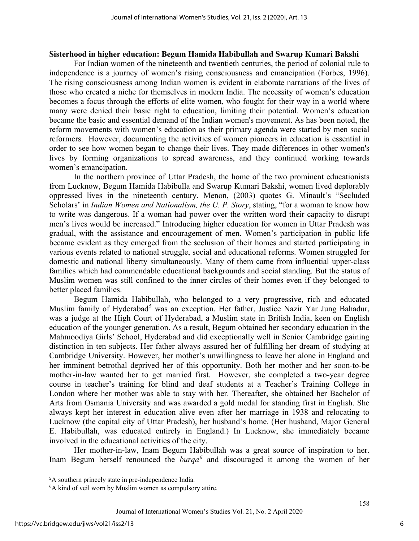#### **Sisterhood in higher education: Begum Hamida Habibullah and Swarup Kumari Bakshi**

For Indian women of the nineteenth and twentieth centuries, the period of colonial rule to independence is a journey of women's rising consciousness and emancipation (Forbes, 1996). The rising consciousness among Indian women is evident in elaborate narrations of the lives of those who created a niche for themselves in modern India. The necessity of women's education becomes a focus through the efforts of elite women, who fought for their way in a world where many were denied their basic right to education, limiting their potential. Women's education became the basic and essential demand of the Indian women's movement. As has been noted, the reform movements with women's education as their primary agenda were started by men social reformers. However, documenting the activities of women pioneers in education is essential in order to see how women began to change their lives. They made differences in other women's lives by forming organizations to spread awareness, and they continued working towards women's emancipation.

In the northern province of Uttar Pradesh, the home of the two prominent educationists from Lucknow, Begum Hamida Habibulla and Swarup Kumari Bakshi, women lived deplorably oppressed lives in the nineteenth century. Menon, (2003) quotes G. Minault's "Secluded Scholars' in *Indian Women and Nationalism, the U. P. Story*, stating, "for a woman to know how to write was dangerous. If a woman had power over the written word their capacity to disrupt men's lives would be increased." Introducing higher education for women in Uttar Pradesh was gradual, with the assistance and encouragement of men. Women's participation in public life became evident as they emerged from the seclusion of their homes and started participating in various events related to national struggle, social and educational reforms. Women struggled for domestic and national liberty simultaneously. Many of them came from influential upper-class families which had commendable educational backgrounds and social standing. But the status of Muslim women was still confined to the inner circles of their homes even if they belonged to better placed families.

Begum Hamida Habibullah, who belonged to a very progressive, rich and educated Muslim family of Hyderabad<sup>[5](#page-6-0)</sup> was an exception. Her father, Justice Nazir Yar Jung Bahadur, was a judge at the High Court of Hyderabad, a Muslim state in British India, keen on English education of the younger generation. As a result, Begum obtained her secondary education in the Mahmoodiya Girls' School, Hyderabad and did exceptionally well in Senior Cambridge gaining distinction in ten subjects. Her father always assured her of fulfilling her dream of studying at Cambridge University. However, her mother's unwillingness to leave her alone in England and her imminent betrothal deprived her of this opportunity. Both her mother and her soon-to-be mother-in-law wanted her to get married first. However, she completed a two-year degree course in teacher's training for blind and deaf students at a Teacher's Training College in London where her mother was able to stay with her. Thereafter, she obtained her Bachelor of Arts from Osmania University and was awarded a gold medal for standing first in English. She always kept her interest in education alive even after her marriage in 1938 and relocating to Lucknow (the capital city of Uttar Pradesh), her husband's home. (Her husband, Major General E. Habibullah, was educated entirely in England.) In Lucknow, she immediately became involved in the educational activities of the city.

Her mother-in-law, Inam Begum Habibullah was a great source of inspiration to her. Inam Begum herself renounced the *burqa[6](#page-6-1)* and discouraged it among the women of her

<span id="page-6-0"></span><sup>&</sup>lt;sup>5</sup>A southern princely state in pre-independence India.

<span id="page-6-1"></span><sup>6</sup> A kind of veil worn by Muslim women as compulsory attire.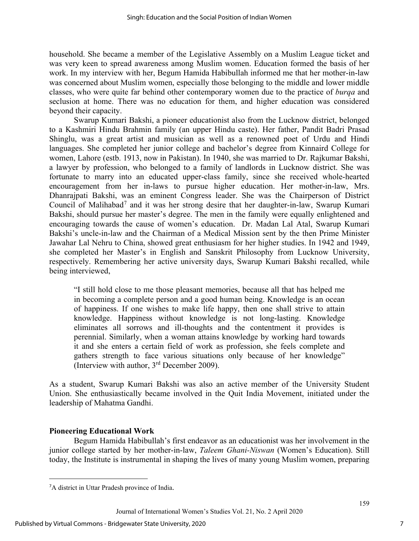household. She became a member of the Legislative Assembly on a Muslim League ticket and was very keen to spread awareness among Muslim women. Education formed the basis of her work. In my interview with her, Begum Hamida Habibullah informed me that her mother-in-law was concerned about Muslim women, especially those belonging to the middle and lower middle classes, who were quite far behind other contemporary women due to the practice of *burqa* and seclusion at home. There was no education for them, and higher education was considered beyond their capacity.

Swarup Kumari Bakshi, a pioneer educationist also from the Lucknow district, belonged to a Kashmiri Hindu Brahmin family (an upper Hindu caste). Her father, Pandit Badri Prasad Shinglu, was a great artist and musician as well as a renowned poet of Urdu and Hindi languages. She completed her junior college and bachelor's degree from Kinnaird College for women, Lahore (estb. 1913, now in Pakistan). In 1940, she was married to Dr. Rajkumar Bakshi, a lawyer by profession, who belonged to a family of landlords in Lucknow district. She was fortunate to marry into an educated upper-class family, since she received whole-hearted encouragement from her in-laws to pursue higher education. Her mother-in-law, Mrs. Dhanrajpati Bakshi, was an eminent Congress leader. She was the Chairperson of District Council of Malihabad<sup>[7](#page-7-0)</sup> and it was her strong desire that her daughter-in-law, Swarup Kumari Bakshi, should pursue her master's degree. The men in the family were equally enlightened and encouraging towards the cause of women's education. Dr. Madan Lal Atal, Swarup Kumari Bakshi's uncle-in-law and the Chairman of a Medical Mission sent by the then Prime Minister Jawahar Lal Nehru to China, showed great enthusiasm for her higher studies. In 1942 and 1949, she completed her Master's in English and Sanskrit Philosophy from Lucknow University, respectively. Remembering her active university days, Swarup Kumari Bakshi recalled, while being interviewed,

"I still hold close to me those pleasant memories, because all that has helped me in becoming a complete person and a good human being. Knowledge is an ocean of happiness. If one wishes to make life happy, then one shall strive to attain knowledge. Happiness without knowledge is not long-lasting. Knowledge eliminates all sorrows and ill-thoughts and the contentment it provides is perennial. Similarly, when a woman attains knowledge by working hard towards it and she enters a certain field of work as profession, she feels complete and gathers strength to face various situations only because of her knowledge" (Interview with author, 3rd December 2009).

As a student, Swarup Kumari Bakshi was also an active member of the University Student Union. She enthusiastically became involved in the Quit India Movement, initiated under the leadership of Mahatma Gandhi.

#### **Pioneering Educational Work**

Begum Hamida Habibullah's first endeavor as an educationist was her involvement in the junior college started by her mother-in-law, *Taleem Ghani-Niswan* (Women's Education). Still today, the Institute is instrumental in shaping the lives of many young Muslim women, preparing

<span id="page-7-0"></span><sup>7</sup> A district in Uttar Pradesh province of India.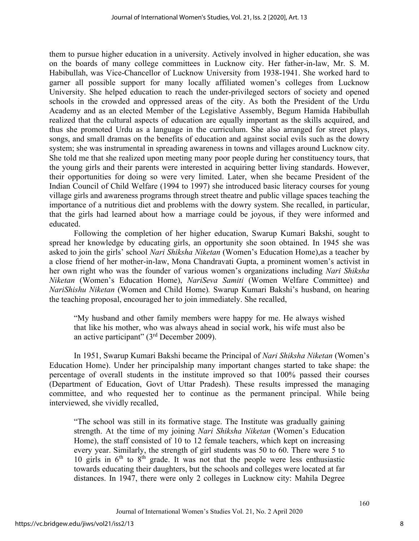them to pursue higher education in a university. Actively involved in higher education, she was on the boards of many college committees in Lucknow city. Her father-in-law, Mr. S. M. Habibullah, was Vice-Chancellor of Lucknow University from 1938-1941. She worked hard to garner all possible support for many locally affiliated women's colleges from Lucknow University. She helped education to reach the under-privileged sectors of society and opened schools in the crowded and oppressed areas of the city. As both the President of the Urdu Academy and as an elected Member of the Legislative Assembly, Begum Hamida Habibullah realized that the cultural aspects of education are equally important as the skills acquired, and thus she promoted Urdu as a language in the curriculum. She also arranged for street plays, songs, and small dramas on the benefits of education and against social evils such as the dowry system; she was instrumental in spreading awareness in towns and villages around Lucknow city. She told me that she realized upon meeting many poor people during her constituency tours, that the young girls and their parents were interested in acquiring better living standards. However, their opportunities for doing so were very limited. Later, when she became President of the Indian Council of Child Welfare (1994 to 1997) she introduced basic literacy courses for young village girls and awareness programs through street theatre and public village spaces teaching the importance of a nutritious diet and problems with the dowry system. She recalled, in particular, that the girls had learned about how a marriage could be joyous, if they were informed and educated.

Following the completion of her higher education, Swarup Kumari Bakshi, sought to spread her knowledge by educating girls, an opportunity she soon obtained. In 1945 she was asked to join the girls' school *Nari Shiksha Niketan* (Women's Education Home),as a teacher by a close friend of her mother-in-law, Mona Chandravati Gupta, a prominent women's activist in her own right who was the founder of various women's organizations including *Nari Shiksha Niketan* (Women's Education Home), *NariSeva Samiti* (Women Welfare Committee) and *NariShishu Niketan* (Women and Child Home)*.* Swarup Kumari Bakshi's husband, on hearing the teaching proposal, encouraged her to join immediately. She recalled,

"My husband and other family members were happy for me. He always wished that like his mother, who was always ahead in social work, his wife must also be an active participant"  $(3<sup>rd</sup> December 2009)$ .

In 1951, Swarup Kumari Bakshi became the Principal of *Nari Shiksha Niketan* (Women's Education Home). Under her principalship many important changes started to take shape: the percentage of overall students in the institute improved so that 100% passed their courses (Department of Education, Govt of Uttar Pradesh). These results impressed the managing committee, and who requested her to continue as the permanent principal. While being interviewed, she vividly recalled,

"The school was still in its formative stage. The Institute was gradually gaining strength. At the time of my joining *Nari Shiksha Niketan* (Women's Education Home), the staff consisted of 10 to 12 female teachers, which kept on increasing every year. Similarly, the strength of girl students was 50 to 60. There were 5 to 10 girls in  $6<sup>th</sup>$  to  $8<sup>th</sup>$  grade. It was not that the people were less enthusiastic towards educating their daughters, but the schools and colleges were located at far distances. In 1947, there were only 2 colleges in Lucknow city: Mahila Degree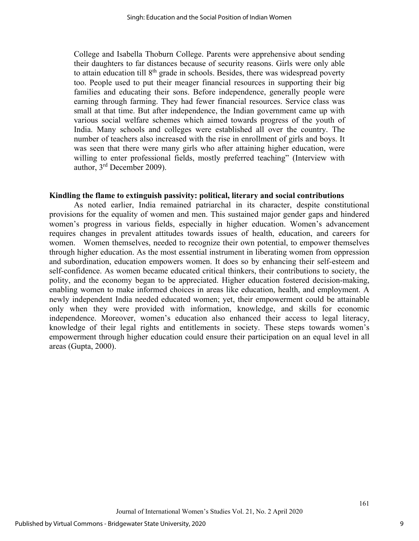College and Isabella Thoburn College. Parents were apprehensive about sending their daughters to far distances because of security reasons. Girls were only able to attain education till  $8<sup>th</sup>$  grade in schools. Besides, there was widespread poverty too. People used to put their meager financial resources in supporting their big families and educating their sons. Before independence, generally people were earning through farming. They had fewer financial resources. Service class was small at that time. But after independence, the Indian government came up with various social welfare schemes which aimed towards progress of the youth of India. Many schools and colleges were established all over the country. The number of teachers also increased with the rise in enrollment of girls and boys. It was seen that there were many girls who after attaining higher education, were willing to enter professional fields, mostly preferred teaching" (Interview with author, 3rd December 2009).

#### **Kindling the flame to extinguish passivity: political, literary and social contributions**

As noted earlier, India remained patriarchal in its character, despite constitutional provisions for the equality of women and men. This sustained major gender gaps and hindered women's progress in various fields, especially in higher education. Women's advancement requires changes in prevalent attitudes towards issues of health, education, and careers for women. Women themselves, needed to recognize their own potential, to empower themselves through higher education. As the most essential instrument in liberating women from oppression and subordination, education empowers women. It does so by enhancing their self-esteem and self-confidence. As women became educated critical thinkers, their contributions to society, the polity, and the economy began to be appreciated. Higher education fostered decision-making, enabling women to make informed choices in areas like education, health, and employment. A newly independent India needed educated women; yet, their empowerment could be attainable only when they were provided with information, knowledge, and skills for economic independence. Moreover, women's education also enhanced their access to legal literacy, knowledge of their legal rights and entitlements in society. These steps towards women's empowerment through higher education could ensure their participation on an equal level in all areas (Gupta, 2000).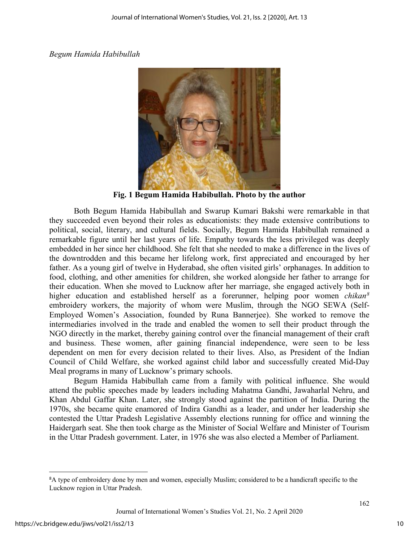#### *Begum Hamida Habibullah*



**Fig. 1 Begum Hamida Habibullah. Photo by the author**

Both Begum Hamida Habibullah and Swarup Kumari Bakshi were remarkable in that they succeeded even beyond their roles as educationists: they made extensive contributions to political, social, literary, and cultural fields. Socially, Begum Hamida Habibullah remained a remarkable figure until her last years of life. Empathy towards the less privileged was deeply embedded in her since her childhood. She felt that she needed to make a difference in the lives of the downtrodden and this became her lifelong work, first appreciated and encouraged by her father. As a young girl of twelve in Hyderabad, she often visited girls' orphanages. In addition to food, clothing, and other amenities for children, she worked alongside her father to arrange for their education. When she moved to Lucknow after her marriage, she engaged actively both in higher education and established herself as a forerunner, helping poor women *chikan[8](#page-10-0)* embroidery workers, the majority of whom were Muslim, through the NGO SEWA (Self-Employed Women's Association, founded by Runa Bannerjee). She worked to remove the intermediaries involved in the trade and enabled the women to sell their product through the NGO directly in the market, thereby gaining control over the financial management of their craft and business. These women, after gaining financial independence, were seen to be less dependent on men for every decision related to their lives. Also, as President of the Indian Council of Child Welfare, she worked against child labor and successfully created Mid-Day Meal programs in many of Lucknow's primary schools.

Begum Hamida Habibullah came from a family with political influence. She would attend the public speeches made by leaders including Mahatma Gandhi, Jawaharlal Nehru, and Khan Abdul Gaffar Khan. Later, she strongly stood against the partition of India. During the 1970s, she became quite enamored of Indira Gandhi as a leader, and under her leadership she contested the Uttar Pradesh Legislative Assembly elections running for office and winning the Haidergarh seat. She then took charge as the Minister of Social Welfare and Minister of Tourism in the Uttar Pradesh government. Later, in 1976 she was also elected a Member of Parliament.

<span id="page-10-0"></span><sup>&</sup>lt;sup>8</sup>A type of embroidery done by men and women, especially Muslim; considered to be a handicraft specific to the Lucknow region in Uttar Pradesh.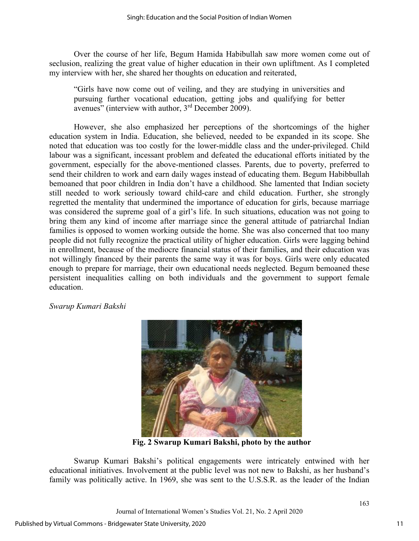Over the course of her life, Begum Hamida Habibullah saw more women come out of seclusion, realizing the great value of higher education in their own upliftment. As I completed my interview with her, she shared her thoughts on education and reiterated,

"Girls have now come out of veiling, and they are studying in universities and pursuing further vocational education, getting jobs and qualifying for better avenues" (interview with author,  $3<sup>rd</sup>$  December 2009).

However, she also emphasized her perceptions of the shortcomings of the higher education system in India. Education, she believed, needed to be expanded in its scope. She noted that education was too costly for the lower-middle class and the under-privileged. Child labour was a significant, incessant problem and defeated the educational efforts initiated by the government, especially for the above-mentioned classes. Parents, due to poverty, preferred to send their children to work and earn daily wages instead of educating them. Begum Habibbullah bemoaned that poor children in India don't have a childhood. She lamented that Indian society still needed to work seriously toward child-care and child education. Further, she strongly regretted the mentality that undermined the importance of education for girls, because marriage was considered the supreme goal of a girl's life. In such situations, education was not going to bring them any kind of income after marriage since the general attitude of patriarchal Indian families is opposed to women working outside the home. She was also concerned that too many people did not fully recognize the practical utility of higher education. Girls were lagging behind in enrollment, because of the mediocre financial status of their families, and their education was not willingly financed by their parents the same way it was for boys. Girls were only educated enough to prepare for marriage, their own educational needs neglected. Begum bemoaned these persistent inequalities calling on both individuals and the government to support female education.

*Swarup Kumari Bakshi* 



 **Fig. 2 Swarup Kumari Bakshi, photo by the author**

Swarup Kumari Bakshi's political engagements were intricately entwined with her educational initiatives. Involvement at the public level was not new to Bakshi, as her husband's family was politically active. In 1969, she was sent to the U.S.S.R. as the leader of the Indian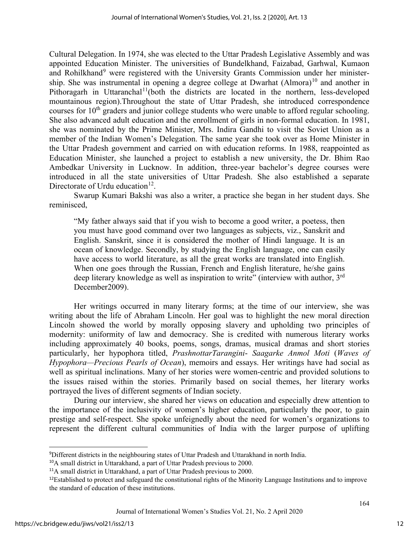Cultural Delegation. In 1974, she was elected to the Uttar Pradesh Legislative Assembly and was appointed Education Minister. The universities of Bundelkhand, Faizabad, Garhwal, Kumaon and Rohilkhand<sup>[9](#page-12-0)</sup> were registered with the University Grants Commission under her ministership. She was instrumental in opening a degree college at Dwarhat  $(Almora)^{10}$  $(Almora)^{10}$  $(Almora)^{10}$  and another in Pithoragarh in Uttaranchal<sup>[11](#page-12-2)</sup>(both the districts are located in the northern, less-developed mountainous region).Throughout the state of Uttar Pradesh, she introduced correspondence courses for  $10<sup>th</sup>$  graders and junior college students who were unable to afford regular schooling. She also advanced adult education and the enrollment of girls in non-formal education. In 1981, she was nominated by the Prime Minister, Mrs. Indira Gandhi to visit the Soviet Union as a member of the Indian Women's Delegation. The same year she took over as Home Minister in the Uttar Pradesh government and carried on with education reforms. In 1988, reappointed as Education Minister, she launched a project to establish a new university, the Dr. Bhim Rao Ambedkar University in Lucknow. In addition, three-year bachelor's degree courses were introduced in all the state universities of Uttar Pradesh. She also established a separate Directorate of Urdu education<sup>12</sup>.

Swarup Kumari Bakshi was also a writer, a practice she began in her student days. She reminisced,

"My father always said that if you wish to become a good writer, a poetess, then you must have good command over two languages as subjects, viz., Sanskrit and English. Sanskrit, since it is considered the mother of Hindi language. It is an ocean of knowledge. Secondly, by studying the English language, one can easily have access to world literature, as all the great works are translated into English. When one goes through the Russian, French and English literature, he/she gains deep literary knowledge as well as inspiration to write" (interview with author, 3<sup>rd</sup> December2009).

Her writings occurred in many literary forms; at the time of our interview, she was writing about the life of Abraham Lincoln. Her goal was to highlight the new moral direction Lincoln showed the world by morally opposing slavery and upholding two principles of modernity: uniformity of law and democracy. She is credited with numerous literary works including approximately 40 books, poems, songs, dramas, musical dramas and short stories particularly, her hypophora titled, *PrashnottarTarangini*- *Saagarke Anmol Moti* (*Waves of Hypophora—Precious Pearls of Ocean*), memoirs and essays. Her writings have had social as well as spiritual inclinations. Many of her stories were women-centric and provided solutions to the issues raised within the stories. Primarily based on social themes, her literary works portrayed the lives of different segments of Indian society.

During our interview, she shared her views on education and especially drew attention to the importance of the inclusivity of women's higher education, particularly the poor, to gain prestige and self-respect. She spoke unfeignedly about the need for women's organizations to represent the different cultural communities of India with the larger purpose of uplifting

<span id="page-12-0"></span><sup>9</sup> Different districts in the neighbouring states of Uttar Pradesh and Uttarakhand in north India.

<span id="page-12-1"></span><sup>10</sup>A small district in Uttarakhand, a part of Uttar Pradesh previous to 2000.

<span id="page-12-2"></span><sup>&</sup>lt;sup>11</sup>A small district in Uttarakhand, a part of Uttar Pradesh previous to 2000.

<span id="page-12-3"></span><sup>&</sup>lt;sup>12</sup>Established to protect and safeguard the constitutional rights of the Minority Language Institutions and to improve the standard of education of these institutions.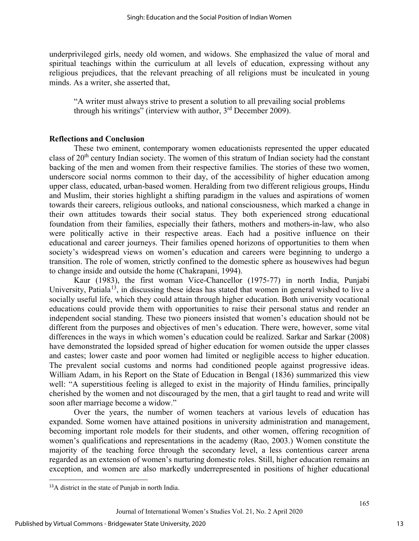underprivileged girls, needy old women, and widows. She emphasized the value of moral and spiritual teachings within the curriculum at all levels of education, expressing without any religious prejudices, that the relevant preaching of all religions must be inculcated in young minds. As a writer, she asserted that,

"A writer must always strive to present a solution to all prevailing social problems through his writings" (interview with author,  $3<sup>rd</sup>$  December 2009).

#### **Reflections and Conclusion**

These two eminent, contemporary women educationists represented the upper educated class of 20th century Indian society. The women of this stratum of Indian society had the constant backing of the men and women from their respective families. The stories of these two women, underscore social norms common to their day, of the accessibility of higher education among upper class, educated, urban-based women. Heralding from two different religious groups, Hindu and Muslim, their stories highlight a shifting paradigm in the values and aspirations of women towards their careers, religious outlooks, and national consciousness, which marked a change in their own attitudes towards their social status. They both experienced strong educational foundation from their families, especially their fathers, mothers and mothers-in-law, who also were politically active in their respective areas. Each had a positive influence on their educational and career journeys. Their families opened horizons of opportunities to them when society's widespread views on women's education and careers were beginning to undergo a transition. The role of women, strictly confined to the domestic sphere as housewives had begun to change inside and outside the home (Chakrapani, 1994).

Kaur (1983), the first woman Vice-Chancellor (1975-77) in north India, Punjabi University, Patiala<sup>[13](#page-13-0)</sup>, in discussing these ideas has stated that women in general wished to live a socially useful life, which they could attain through higher education. Both university vocational educations could provide them with opportunities to raise their personal status and render an independent social standing. These two pioneers insisted that women's education should not be different from the purposes and objectives of men's education. There were, however, some vital differences in the ways in which women's education could be realized. Sarkar and Sarkar (2008) have demonstrated the lopsided spread of higher education for women outside the upper classes and castes; lower caste and poor women had limited or negligible access to higher education. The prevalent social customs and norms had conditioned people against progressive ideas. William Adam, in his Report on the State of Education in Bengal (1836) summarized this view well: "A superstitious feeling is alleged to exist in the majority of Hindu families, principally cherished by the women and not discouraged by the men, that a girl taught to read and write will soon after marriage become a widow."

Over the years, the number of women teachers at various levels of education has expanded. Some women have attained positions in university administration and management, becoming important role models for their students, and other women, offering recognition of women's qualifications and representations in the academy (Rao, 2003.) Women constitute the majority of the teaching force through the secondary level, a less contentious career arena regarded as an extension of women's nurturing domestic roles. Still, higher education remains an exception, and women are also markedly underrepresented in positions of higher educational

<span id="page-13-0"></span><sup>13</sup>A district in the state of Punjab in north India.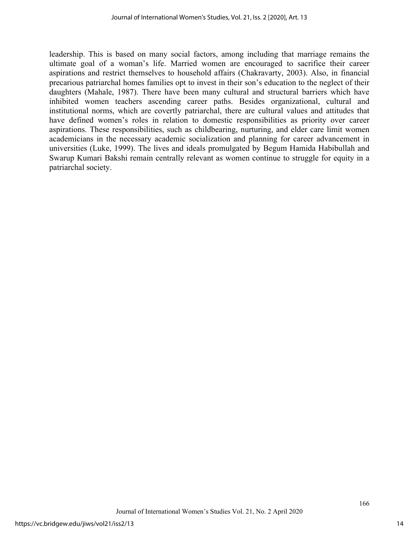leadership. This is based on many social factors, among including that marriage remains the ultimate goal of a woman's life. Married women are encouraged to sacrifice their career aspirations and restrict themselves to household affairs (Chakravarty, 2003). Also, in financial precarious patriarchal homes families opt to invest in their son's education to the neglect of their daughters (Mahale, 1987). There have been many cultural and structural barriers which have inhibited women teachers ascending career paths. Besides organizational, cultural and institutional norms, which are covertly patriarchal, there are cultural values and attitudes that have defined women's roles in relation to domestic responsibilities as priority over career aspirations. These responsibilities, such as childbearing, nurturing, and elder care limit women academicians in the necessary academic socialization and planning for career advancement in universities (Luke, 1999). The lives and ideals promulgated by Begum Hamida Habibullah and Swarup Kumari Bakshi remain centrally relevant as women continue to struggle for equity in a patriarchal society.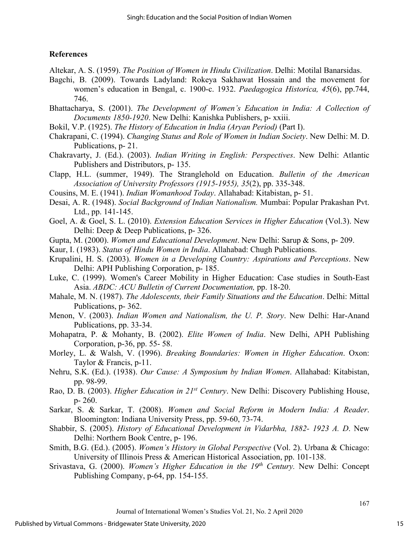### **References**

- Altekar, A. S. (1959). *The Position of Women in Hindu Civilization*. Delhi: Motilal Banarsidas.
- Bagchi, B. (2009). Towards Ladyland: Rokeya Sakhawat Hossain and the movement for women's education in Bengal, c. 1900-c. 1932. *Paedagogica Historica, 45*(6), pp.744, 746.
- Bhattacharya, S. (2001). *The Development of Women's Education in India: A Collection of Documents 1850-1920*. New Delhi: Kanishka Publishers, p- xxiii.
- Bokil, V.P. (1925). *The History of Education in India (Aryan Period)* (Part I).
- Chakrapani, C. (1994). *Changing Status and Role of Women in Indian Society*. New Delhi: M. D. Publications, p- 21.
- Chakravarty, J. (Ed.). (2003). *Indian Writing in English: Perspectives*. New Delhi: Atlantic Publishers and Distributors, p- 135.
- Clapp, H.L. (summer, 1949). The Stranglehold on Education. *Bulletin of the American Association of University Professors (1915-1955), 35*(2), pp. 335-348.
- Cousins, M. E. (1941). *Indian Womanhood Today*. Allahabad: Kitabistan, p- 51.
- Desai, A. R. (1948). *Social Background of Indian Nationalism.* Mumbai: Popular Prakashan Pvt. Ltd., pp. 141-145.
- Goel, A. & Goel, S. L. (2010). *Extension Education Services in Higher Education* (Vol.3). New Delhi: Deep & Deep Publications, p- 326.
- Gupta, M. (2000). *Women and Educational Development*. New Delhi: Sarup & Sons, p- 209.
- Kaur, I. (1983). *Status of Hindu Women in India*. Allahabad: Chugh Publications.
- Krupalini, H. S. (2003). *Women in a Developing Country: Aspirations and Perceptions*. New Delhi: APH Publishing Corporation, p- 185.
- Luke, C. (1999). Women's Career Mobility in Higher Education: Case studies in South-East Asia. *ABDC: ACU Bulletin of Current Documentation,* pp. 18-20.
- Mahale, M. N. (1987). *The Adolescents, their Family Situations and the Education*. Delhi: Mittal Publications, p- 362.
- Menon, V. (2003). *Indian Women and Nationalism, the U. P. Story*. New Delhi: Har-Anand Publications, pp. 33-34.
- Mohapatra, P. & Mohanty, B. (2002). *Elite Women of India*. New Delhi, APH Publishing Corporation, p-36, pp. 55- 58.
- Morley, L. & Walsh, V. (1996). *Breaking Boundaries: Women in Higher Education*. Oxon: Taylor & Francis, p-11.
- Nehru, S.K. (Ed.). (1938). *Our Cause: A Symposium by Indian Women*. Allahabad: Kitabistan, pp. 98-99.
- Rao, D. B. (2003). *Higher Education in 21st Century*. New Delhi: Discovery Publishing House, p- 260.
- Sarkar, S. & Sarkar, T. (2008). *Women and Social Reform in Modern India: A Reader*. Bloomington: Indiana University Press, pp. 59-60, 73-74.
- Shabbir, S. (2005). *History of Educational Development in Vidarbha, 1882- 1923 A. D*. New Delhi: Northern Book Centre, p- 196.
- Smith, B.G. (Ed.). (2005). *Women's History in Global Perspective* (Vol. 2). Urbana & Chicago: University of Illinois Press & American Historical Association, pp. 101-138.
- Srivastava, G. (2000). *Women's Higher Education in the 19th Century.* New Delhi: Concept Publishing Company, p-64, pp. 154-155.